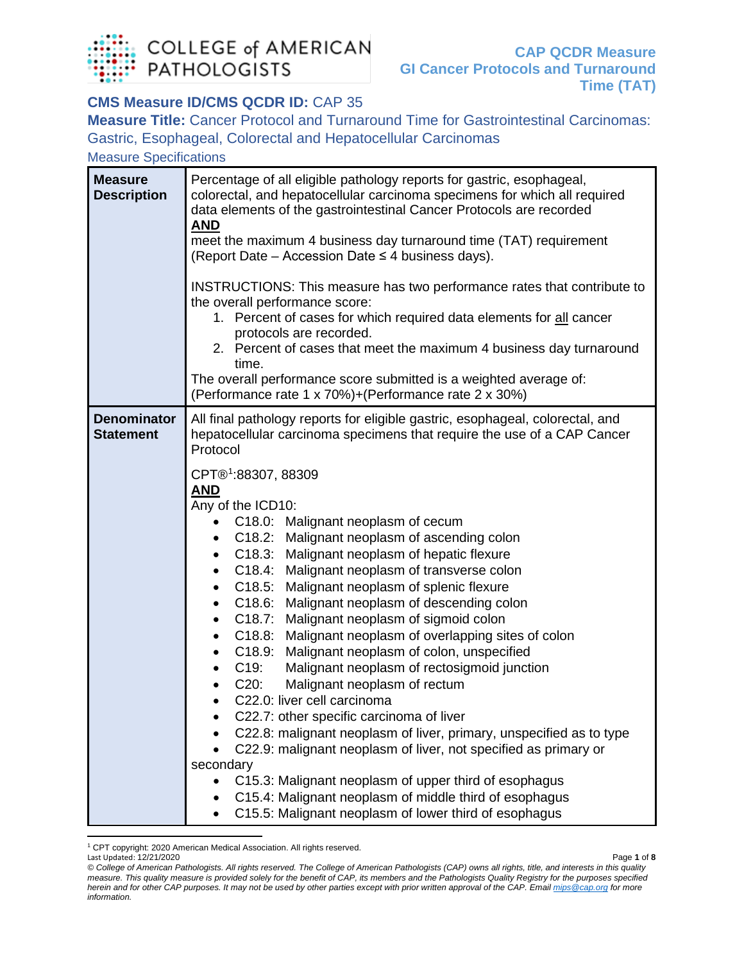

### **CMS Measure ID/CMS QCDR ID:** CAP 35

**Measure Title:** Cancer Protocol and Turnaround Time for Gastrointestinal Carcinomas: Gastric, Esophageal, Colorectal and Hepatocellular Carcinomas

Measure Specifications

| <b>Measure</b><br><b>Description</b>   | Percentage of all eligible pathology reports for gastric, esophageal,<br>colorectal, and hepatocellular carcinoma specimens for which all required<br>data elements of the gastrointestinal Cancer Protocols are recorded<br><b>AND</b><br>meet the maximum 4 business day turnaround time (TAT) requirement<br>(Report Date – Accession Date $\leq$ 4 business days).<br>INSTRUCTIONS: This measure has two performance rates that contribute to<br>the overall performance score:<br>1. Percent of cases for which required data elements for all cancer<br>protocols are recorded.<br>2. Percent of cases that meet the maximum 4 business day turnaround<br>time.<br>The overall performance score submitted is a weighted average of:<br>(Performance rate 1 x 70%)+(Performance rate 2 x 30%)                                                                                                                                                                                                                                                                                                                                                                                                                                                                                          |
|----------------------------------------|----------------------------------------------------------------------------------------------------------------------------------------------------------------------------------------------------------------------------------------------------------------------------------------------------------------------------------------------------------------------------------------------------------------------------------------------------------------------------------------------------------------------------------------------------------------------------------------------------------------------------------------------------------------------------------------------------------------------------------------------------------------------------------------------------------------------------------------------------------------------------------------------------------------------------------------------------------------------------------------------------------------------------------------------------------------------------------------------------------------------------------------------------------------------------------------------------------------------------------------------------------------------------------------------|
| <b>Denominator</b><br><b>Statement</b> | All final pathology reports for eligible gastric, esophageal, colorectal, and<br>hepatocellular carcinoma specimens that require the use of a CAP Cancer<br>Protocol<br>CPT®1:88307, 88309<br><b>AND</b><br>Any of the ICD10:<br>C18.0: Malignant neoplasm of cecum<br>C18.2: Malignant neoplasm of ascending colon<br>٠<br>C18.3: Malignant neoplasm of hepatic flexure<br>C18.4: Malignant neoplasm of transverse colon<br>٠<br>C18.5: Malignant neoplasm of splenic flexure<br>$\bullet$<br>C18.6: Malignant neoplasm of descending colon<br>$\bullet$<br>C18.7: Malignant neoplasm of sigmoid colon<br>$\bullet$<br>Malignant neoplasm of overlapping sites of colon<br>C18.8:<br>$\bullet$<br>C18.9:<br>Malignant neoplasm of colon, unspecified<br>$\bullet$<br>C19:<br>Malignant neoplasm of rectosigmoid junction<br>٠<br>$C20$ :<br>Malignant neoplasm of rectum<br>٠<br>C22.0: liver cell carcinoma<br>C22.7: other specific carcinoma of liver<br>C22.8: malignant neoplasm of liver, primary, unspecified as to type<br>C22.9: malignant neoplasm of liver, not specified as primary or<br>secondary<br>C15.3: Malignant neoplasm of upper third of esophagus<br>C15.4: Malignant neoplasm of middle third of esophagus<br>C15.5: Malignant neoplasm of lower third of esophagus |

<span id="page-0-0"></span>Last Updated: 12/21/2020 Page **1** of **8** <sup>1</sup> CPT copyright: 2020 American Medical Association. All rights reserved.

*<sup>©</sup> College of American Pathologists. All rights reserved. The College of American Pathologists (CAP) owns all rights, title, and interests in this quality measure. This quality measure is provided solely for the benefit of CAP, its members and the Pathologists Quality Registry for the purposes specified herein and for other CAP purposes. It may not be used by other parties except with prior written approval of the CAP. Emai[l mips@cap.org](mailto:mips@cap.org) for more information.*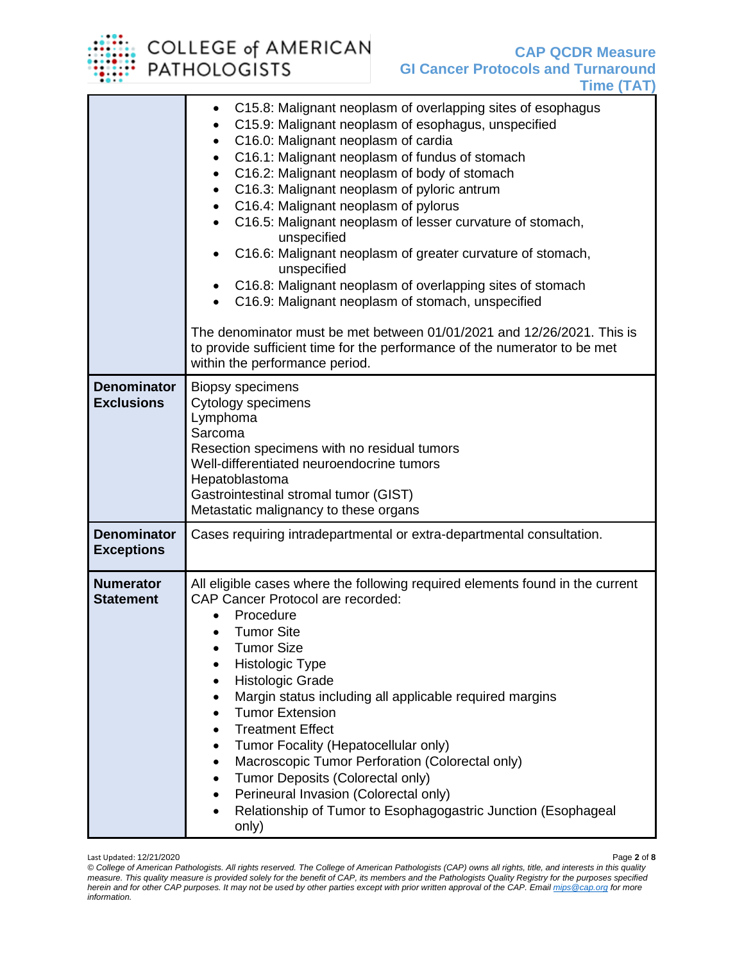# COLLEGE of AMERICAN<br>PATHOLOGISTS

|                                         | C15.8: Malignant neoplasm of overlapping sites of esophagus<br>C15.9: Malignant neoplasm of esophagus, unspecified<br>C16.0: Malignant neoplasm of cardia<br>C16.1: Malignant neoplasm of fundus of stomach<br>C16.2: Malignant neoplasm of body of stomach<br>C16.3: Malignant neoplasm of pyloric antrum<br>C16.4: Malignant neoplasm of pylorus<br>$\bullet$<br>C16.5: Malignant neoplasm of lesser curvature of stomach,<br>$\bullet$<br>unspecified<br>C16.6: Malignant neoplasm of greater curvature of stomach,<br>unspecified<br>C16.8: Malignant neoplasm of overlapping sites of stomach<br>C16.9: Malignant neoplasm of stomach, unspecified<br>The denominator must be met between 01/01/2021 and 12/26/2021. This is<br>to provide sufficient time for the performance of the numerator to be met<br>within the performance period. |
|-----------------------------------------|--------------------------------------------------------------------------------------------------------------------------------------------------------------------------------------------------------------------------------------------------------------------------------------------------------------------------------------------------------------------------------------------------------------------------------------------------------------------------------------------------------------------------------------------------------------------------------------------------------------------------------------------------------------------------------------------------------------------------------------------------------------------------------------------------------------------------------------------------|
| <b>Denominator</b><br><b>Exclusions</b> | <b>Biopsy specimens</b><br>Cytology specimens<br>Lymphoma<br>Sarcoma<br>Resection specimens with no residual tumors<br>Well-differentiated neuroendocrine tumors<br>Hepatoblastoma<br>Gastrointestinal stromal tumor (GIST)<br>Metastatic malignancy to these organs                                                                                                                                                                                                                                                                                                                                                                                                                                                                                                                                                                             |
| <b>Denominator</b><br><b>Exceptions</b> | Cases requiring intradepartmental or extra-departmental consultation.                                                                                                                                                                                                                                                                                                                                                                                                                                                                                                                                                                                                                                                                                                                                                                            |
| <b>Numerator</b><br><b>Statement</b>    | All eligible cases where the following required elements found in the current<br><b>CAP Cancer Protocol are recorded:</b><br>Procedure<br><b>Tumor Site</b><br><b>Tumor Size</b><br>Histologic Type<br><b>Histologic Grade</b><br>$\bullet$<br>Margin status including all applicable required margins<br>٠<br><b>Tumor Extension</b><br><b>Treatment Effect</b><br>Tumor Focality (Hepatocellular only)<br>Macroscopic Tumor Perforation (Colorectal only)<br>Tumor Deposits (Colorectal only)<br>Perineural Invasion (Colorectal only)<br>Relationship of Tumor to Esophagogastric Junction (Esophageal<br>٠<br>only)                                                                                                                                                                                                                          |

Last Updated: 12/21/2020 Page **2** of **8** *© College of American Pathologists. All rights reserved. The College of American Pathologists (CAP) owns all rights, title, and interests in this quality measure. This quality measure is provided solely for the benefit of CAP, its members and the Pathologists Quality Registry for the purposes specified herein and for other CAP purposes. It may not be used by other parties except with prior written approval of the CAP. Emai[l mips@cap.org](mailto:mips@cap.org) for more information.*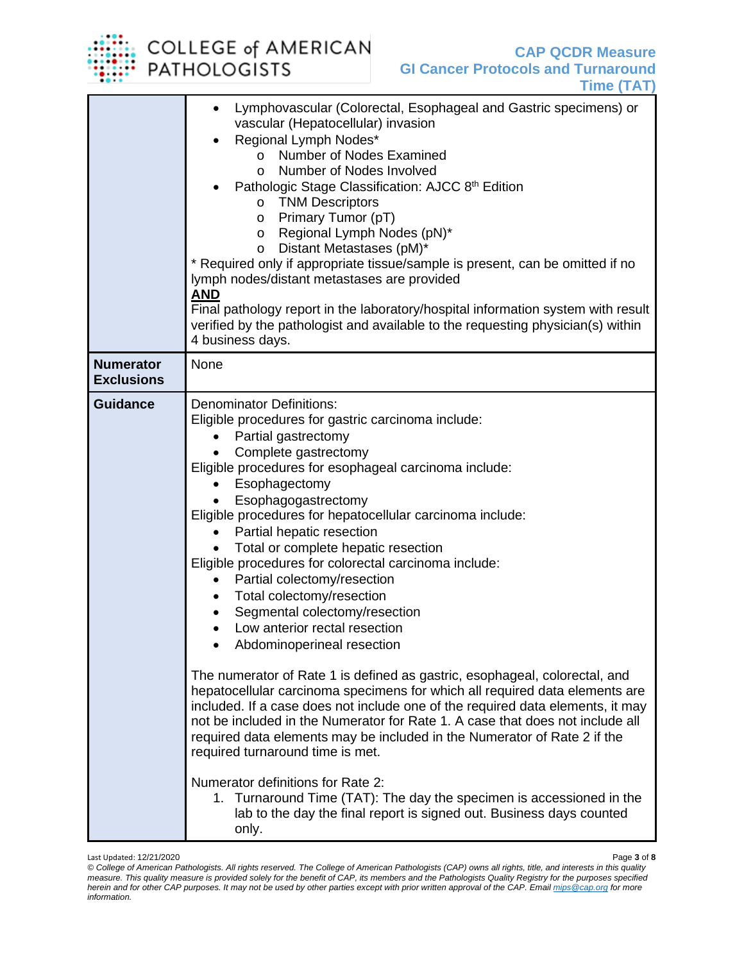# COLLEGE of AMERICAN<br>PATHOLOGISTS

|                                       | Lymphovascular (Colorectal, Esophageal and Gastric specimens) or<br>vascular (Hepatocellular) invasion<br>Regional Lymph Nodes*<br>Number of Nodes Examined<br>$\Omega$<br>Number of Nodes Involved<br>$\circ$<br>Pathologic Stage Classification: AJCC 8th Edition<br>o TNM Descriptors<br>Primary Tumor (pT)<br>$\circ$<br>Regional Lymph Nodes (pN)*<br>O<br>Distant Metastases (pM)*<br>O<br>* Required only if appropriate tissue/sample is present, can be omitted if no<br>lymph nodes/distant metastases are provided<br><b>AND</b><br>Final pathology report in the laboratory/hospital information system with result<br>verified by the pathologist and available to the requesting physician(s) within<br>4 business days.                                                                                                                                                                                                                                                                                                                                                                                                                                                                                                                              |
|---------------------------------------|---------------------------------------------------------------------------------------------------------------------------------------------------------------------------------------------------------------------------------------------------------------------------------------------------------------------------------------------------------------------------------------------------------------------------------------------------------------------------------------------------------------------------------------------------------------------------------------------------------------------------------------------------------------------------------------------------------------------------------------------------------------------------------------------------------------------------------------------------------------------------------------------------------------------------------------------------------------------------------------------------------------------------------------------------------------------------------------------------------------------------------------------------------------------------------------------------------------------------------------------------------------------|
| <b>Numerator</b><br><b>Exclusions</b> | None                                                                                                                                                                                                                                                                                                                                                                                                                                                                                                                                                                                                                                                                                                                                                                                                                                                                                                                                                                                                                                                                                                                                                                                                                                                                |
| <b>Guidance</b>                       | <b>Denominator Definitions:</b><br>Eligible procedures for gastric carcinoma include:<br>Partial gastrectomy<br>Complete gastrectomy<br>Eligible procedures for esophageal carcinoma include:<br>Esophagectomy<br>$\bullet$<br>Esophagogastrectomy<br>Eligible procedures for hepatocellular carcinoma include:<br>Partial hepatic resection<br>Total or complete hepatic resection<br>Eligible procedures for colorectal carcinoma include:<br>Partial colectomy/resection<br>Total colectomy/resection<br>Segmental colectomy/resection<br>Low anterior rectal resection<br>$\bullet$<br>Abdominoperineal resection<br>The numerator of Rate 1 is defined as gastric, esophageal, colorectal, and<br>hepatocellular carcinoma specimens for which all required data elements are<br>included. If a case does not include one of the required data elements, it may<br>not be included in the Numerator for Rate 1. A case that does not include all<br>required data elements may be included in the Numerator of Rate 2 if the<br>required turnaround time is met.<br>Numerator definitions for Rate 2:<br>1. Turnaround Time (TAT): The day the specimen is accessioned in the<br>lab to the day the final report is signed out. Business days counted<br>only. |

Last Updated: 12/21/2020 Page **3** of **8**

*<sup>©</sup> College of American Pathologists. All rights reserved. The College of American Pathologists (CAP) owns all rights, title, and interests in this quality measure. This quality measure is provided solely for the benefit of CAP, its members and the Pathologists Quality Registry for the purposes specified herein and for other CAP purposes. It may not be used by other parties except with prior written approval of the CAP. Emai[l mips@cap.org](mailto:mips@cap.org) for more information.*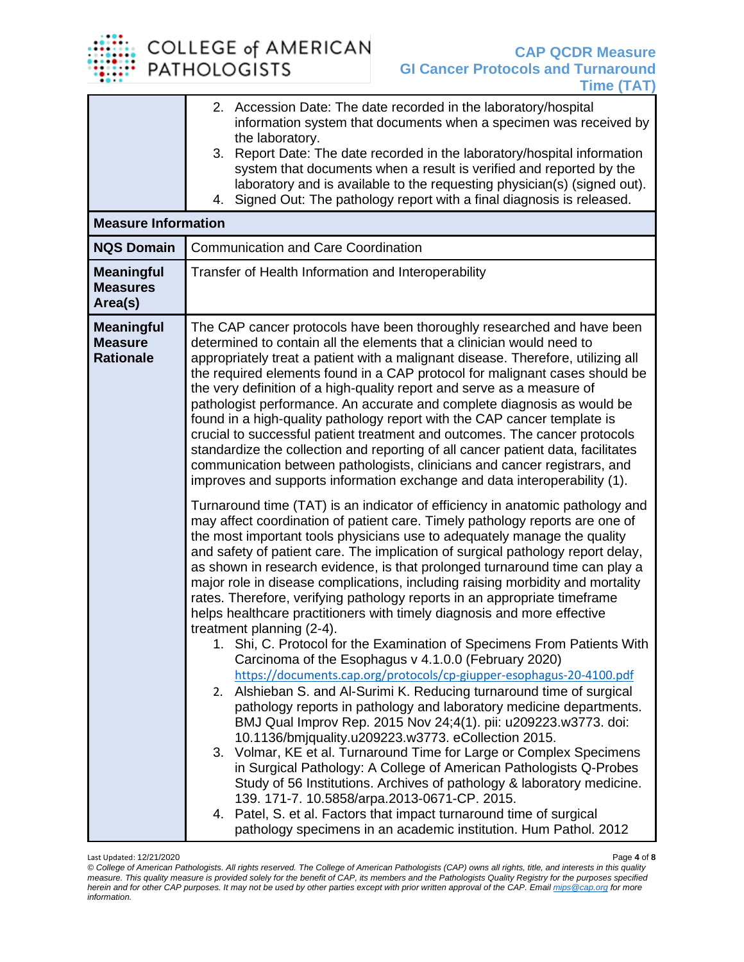COLLEGE of AMERICAN<br>PATHOLOGISTS

| <b>Measure Information</b><br><b>NQS Domain</b><br><b>Meaningful</b><br><b>Measures</b><br>Area(s) | 2. Accession Date: The date recorded in the laboratory/hospital<br>information system that documents when a specimen was received by<br>the laboratory.<br>3. Report Date: The date recorded in the laboratory/hospital information<br>system that documents when a result is verified and reported by the<br>laboratory and is available to the requesting physician(s) (signed out).<br>4. Signed Out: The pathology report with a final diagnosis is released.<br><b>Communication and Care Coordination</b><br>Transfer of Health Information and Interoperability                                                                                                                                                                                                                                                                                                                                                                                                                                                                                                                                                                                                                                                                                                                                                                                                                                                                                                                                                                                                                                                                                                                                                                                                                                                                                                                                                                                                                                                                                                                                                                                                                                                                                                                                                                                                                                                                                                       |
|----------------------------------------------------------------------------------------------------|------------------------------------------------------------------------------------------------------------------------------------------------------------------------------------------------------------------------------------------------------------------------------------------------------------------------------------------------------------------------------------------------------------------------------------------------------------------------------------------------------------------------------------------------------------------------------------------------------------------------------------------------------------------------------------------------------------------------------------------------------------------------------------------------------------------------------------------------------------------------------------------------------------------------------------------------------------------------------------------------------------------------------------------------------------------------------------------------------------------------------------------------------------------------------------------------------------------------------------------------------------------------------------------------------------------------------------------------------------------------------------------------------------------------------------------------------------------------------------------------------------------------------------------------------------------------------------------------------------------------------------------------------------------------------------------------------------------------------------------------------------------------------------------------------------------------------------------------------------------------------------------------------------------------------------------------------------------------------------------------------------------------------------------------------------------------------------------------------------------------------------------------------------------------------------------------------------------------------------------------------------------------------------------------------------------------------------------------------------------------------------------------------------------------------------------------------------------------------|
| <b>Meaningful</b><br><b>Measure</b><br><b>Rationale</b>                                            | The CAP cancer protocols have been thoroughly researched and have been<br>determined to contain all the elements that a clinician would need to<br>appropriately treat a patient with a malignant disease. Therefore, utilizing all<br>the required elements found in a CAP protocol for malignant cases should be<br>the very definition of a high-quality report and serve as a measure of<br>pathologist performance. An accurate and complete diagnosis as would be<br>found in a high-quality pathology report with the CAP cancer template is<br>crucial to successful patient treatment and outcomes. The cancer protocols<br>standardize the collection and reporting of all cancer patient data, facilitates<br>communication between pathologists, clinicians and cancer registrars, and<br>improves and supports information exchange and data interoperability (1).<br>Turnaround time (TAT) is an indicator of efficiency in anatomic pathology and<br>may affect coordination of patient care. Timely pathology reports are one of<br>the most important tools physicians use to adequately manage the quality<br>and safety of patient care. The implication of surgical pathology report delay,<br>as shown in research evidence, is that prolonged turnaround time can play a<br>major role in disease complications, including raising morbidity and mortality<br>rates. Therefore, verifying pathology reports in an appropriate timeframe<br>helps healthcare practitioners with timely diagnosis and more effective<br>treatment planning (2-4).<br>1. Shi, C. Protocol for the Examination of Specimens From Patients With<br>Carcinoma of the Esophagus v 4.1.0.0 (February 2020)<br>https://documents.cap.org/protocols/cp-giupper-esophagus-20-4100.pdf<br>2. Alshieban S. and Al-Surimi K. Reducing turnaround time of surgical<br>pathology reports in pathology and laboratory medicine departments.<br>BMJ Qual Improv Rep. 2015 Nov 24;4(1). pii: u209223.w3773. doi:<br>10.1136/bmjquality.u209223.w3773. eCollection 2015.<br>3. Volmar, KE et al. Turnaround Time for Large or Complex Specimens<br>in Surgical Pathology: A College of American Pathologists Q-Probes<br>Study of 56 Institutions. Archives of pathology & laboratory medicine.<br>139. 171-7. 10.5858/arpa.2013-0671-CP. 2015.<br>4. Patel, S. et al. Factors that impact turnaround time of surgical<br>pathology specimens in an academic institution. Hum Pathol. 2012 |

Last Updated: 12/21/2020 Page **4** of **8**

*<sup>©</sup> College of American Pathologists. All rights reserved. The College of American Pathologists (CAP) owns all rights, title, and interests in this quality measure. This quality measure is provided solely for the benefit of CAP, its members and the Pathologists Quality Registry for the purposes specified herein and for other CAP purposes. It may not be used by other parties except with prior written approval of the CAP. Emai[l mips@cap.org](mailto:mips@cap.org) for more information.*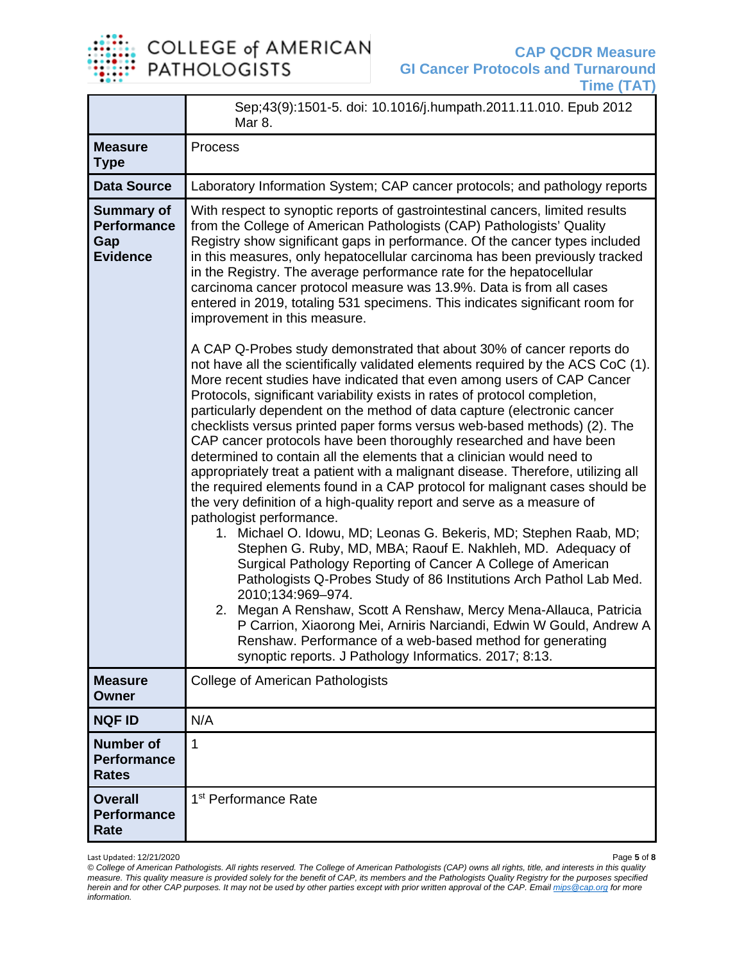

|                                                                   | Sep;43(9):1501-5. doi: 10.1016/j.humpath.2011.11.010. Epub 2012<br>Mar 8.                                                                                                                                                                                                                                                                                                                                                                                                                                                                                                                                                                                                                                                                                                                                                                                                                                                                                                                                                                                                                                                                                                                                                                                            |
|-------------------------------------------------------------------|----------------------------------------------------------------------------------------------------------------------------------------------------------------------------------------------------------------------------------------------------------------------------------------------------------------------------------------------------------------------------------------------------------------------------------------------------------------------------------------------------------------------------------------------------------------------------------------------------------------------------------------------------------------------------------------------------------------------------------------------------------------------------------------------------------------------------------------------------------------------------------------------------------------------------------------------------------------------------------------------------------------------------------------------------------------------------------------------------------------------------------------------------------------------------------------------------------------------------------------------------------------------|
| <b>Measure</b><br><b>Type</b>                                     | Process                                                                                                                                                                                                                                                                                                                                                                                                                                                                                                                                                                                                                                                                                                                                                                                                                                                                                                                                                                                                                                                                                                                                                                                                                                                              |
| <b>Data Source</b>                                                | Laboratory Information System; CAP cancer protocols; and pathology reports                                                                                                                                                                                                                                                                                                                                                                                                                                                                                                                                                                                                                                                                                                                                                                                                                                                                                                                                                                                                                                                                                                                                                                                           |
| <b>Summary of</b><br><b>Performance</b><br>Gap<br><b>Evidence</b> | With respect to synoptic reports of gastrointestinal cancers, limited results<br>from the College of American Pathologists (CAP) Pathologists' Quality<br>Registry show significant gaps in performance. Of the cancer types included<br>in this measures, only hepatocellular carcinoma has been previously tracked<br>in the Registry. The average performance rate for the hepatocellular<br>carcinoma cancer protocol measure was 13.9%. Data is from all cases<br>entered in 2019, totaling 531 specimens. This indicates significant room for<br>improvement in this measure.                                                                                                                                                                                                                                                                                                                                                                                                                                                                                                                                                                                                                                                                                  |
|                                                                   | A CAP Q-Probes study demonstrated that about 30% of cancer reports do<br>not have all the scientifically validated elements required by the ACS CoC (1).<br>More recent studies have indicated that even among users of CAP Cancer<br>Protocols, significant variability exists in rates of protocol completion,<br>particularly dependent on the method of data capture (electronic cancer<br>checklists versus printed paper forms versus web-based methods) (2). The<br>CAP cancer protocols have been thoroughly researched and have been<br>determined to contain all the elements that a clinician would need to<br>appropriately treat a patient with a malignant disease. Therefore, utilizing all<br>the required elements found in a CAP protocol for malignant cases should be<br>the very definition of a high-quality report and serve as a measure of<br>pathologist performance.<br>1. Michael O. Idowu, MD; Leonas G. Bekeris, MD; Stephen Raab, MD;<br>Stephen G. Ruby, MD, MBA; Raouf E. Nakhleh, MD. Adequacy of<br>Surgical Pathology Reporting of Cancer A College of American<br>Pathologists Q-Probes Study of 86 Institutions Arch Pathol Lab Med.<br>2010;134:969-974.<br>2. Megan A Renshaw, Scott A Renshaw, Mercy Mena-Allauca, Patricia |
|                                                                   | P Carrion, Xiaorong Mei, Arniris Narciandi, Edwin W Gould, Andrew A<br>Renshaw. Performance of a web-based method for generating<br>synoptic reports. J Pathology Informatics. 2017; 8:13.                                                                                                                                                                                                                                                                                                                                                                                                                                                                                                                                                                                                                                                                                                                                                                                                                                                                                                                                                                                                                                                                           |
| <b>Measure</b><br><b>Owner</b>                                    | <b>College of American Pathologists</b>                                                                                                                                                                                                                                                                                                                                                                                                                                                                                                                                                                                                                                                                                                                                                                                                                                                                                                                                                                                                                                                                                                                                                                                                                              |
| <b>NQF ID</b>                                                     | N/A                                                                                                                                                                                                                                                                                                                                                                                                                                                                                                                                                                                                                                                                                                                                                                                                                                                                                                                                                                                                                                                                                                                                                                                                                                                                  |
| <b>Number of</b><br><b>Performance</b><br><b>Rates</b>            | $\mathbf{1}$                                                                                                                                                                                                                                                                                                                                                                                                                                                                                                                                                                                                                                                                                                                                                                                                                                                                                                                                                                                                                                                                                                                                                                                                                                                         |
| <b>Overall</b><br><b>Performance</b><br>Rate                      | 1 <sup>st</sup> Performance Rate                                                                                                                                                                                                                                                                                                                                                                                                                                                                                                                                                                                                                                                                                                                                                                                                                                                                                                                                                                                                                                                                                                                                                                                                                                     |

Last Updated: 12/21/2020 Page **5** of **8**

*© College of American Pathologists. All rights reserved. The College of American Pathologists (CAP) owns all rights, title, and interests in this quality measure. This quality measure is provided solely for the benefit of CAP, its members and the Pathologists Quality Registry for the purposes specified herein and for other CAP purposes. It may not be used by other parties except with prior written approval of the CAP. Emai[l mips@cap.org](mailto:mips@cap.org) for more information.*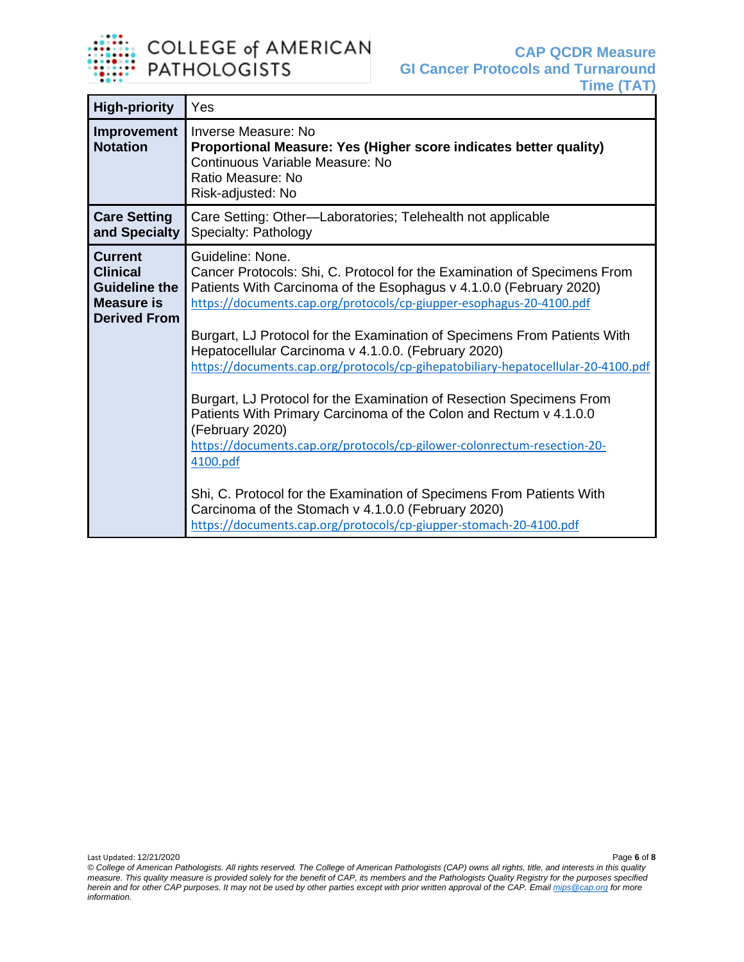

| <b>High-priority</b>                                                                                  | Yes                                                                                                                                                                                                                                                                                                                                                                                                                                                                                                                                                                                                                                                                                                                                                                                                                                                                                                                            |
|-------------------------------------------------------------------------------------------------------|--------------------------------------------------------------------------------------------------------------------------------------------------------------------------------------------------------------------------------------------------------------------------------------------------------------------------------------------------------------------------------------------------------------------------------------------------------------------------------------------------------------------------------------------------------------------------------------------------------------------------------------------------------------------------------------------------------------------------------------------------------------------------------------------------------------------------------------------------------------------------------------------------------------------------------|
| Improvement<br><b>Notation</b>                                                                        | Inverse Measure: No<br>Proportional Measure: Yes (Higher score indicates better quality)<br>Continuous Variable Measure: No<br>Ratio Measure: No<br>Risk-adjusted: No                                                                                                                                                                                                                                                                                                                                                                                                                                                                                                                                                                                                                                                                                                                                                          |
| <b>Care Setting</b><br>and Specialty                                                                  | Care Setting: Other-Laboratories; Telehealth not applicable<br>Specialty: Pathology                                                                                                                                                                                                                                                                                                                                                                                                                                                                                                                                                                                                                                                                                                                                                                                                                                            |
| <b>Current</b><br><b>Clinical</b><br><b>Guideline the</b><br><b>Measure is</b><br><b>Derived From</b> | Guideline: None.<br>Cancer Protocols: Shi, C. Protocol for the Examination of Specimens From<br>Patients With Carcinoma of the Esophagus v 4.1.0.0 (February 2020)<br>https://documents.cap.org/protocols/cp-giupper-esophagus-20-4100.pdf<br>Burgart, LJ Protocol for the Examination of Specimens From Patients With<br>Hepatocellular Carcinoma v 4.1.0.0. (February 2020)<br>https://documents.cap.org/protocols/cp-gihepatobiliary-hepatocellular-20-4100.pdf<br>Burgart, LJ Protocol for the Examination of Resection Specimens From<br>Patients With Primary Carcinoma of the Colon and Rectum v 4.1.0.0<br>(February 2020)<br>https://documents.cap.org/protocols/cp-gilower-colonrectum-resection-20-<br>4100.pdf<br>Shi, C. Protocol for the Examination of Specimens From Patients With<br>Carcinoma of the Stomach v 4.1.0.0 (February 2020)<br>https://documents.cap.org/protocols/cp-giupper-stomach-20-4100.pdf |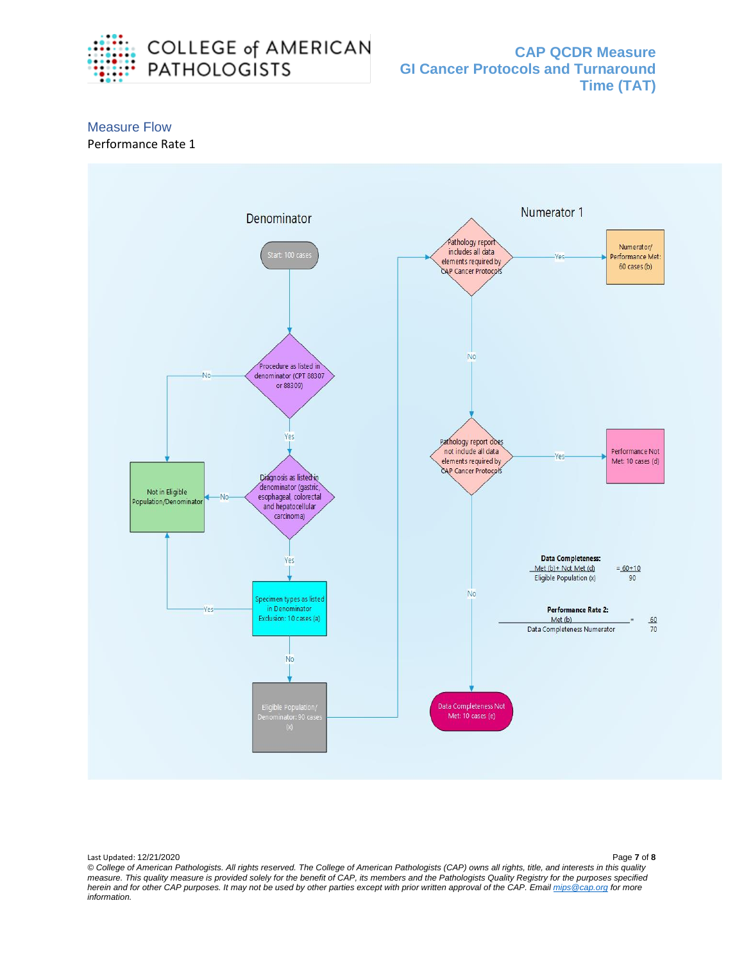

**CAP QCDR Measure GI Cancer Protocols and Turnaround Time (TAT)**

## Measure Flow

#### Performance Rate 1



*© College of American Pathologists. All rights reserved. The College of American Pathologists (CAP) owns all rights, title, and interests in this quality measure. This quality measure is provided solely for the benefit of CAP, its members and the Pathologists Quality Registry for the purposes specified herein and for other CAP purposes. It may not be used by other parties except with prior written approval of the CAP. Emai[l mips@cap.org](mailto:mips@cap.org) for more information.*